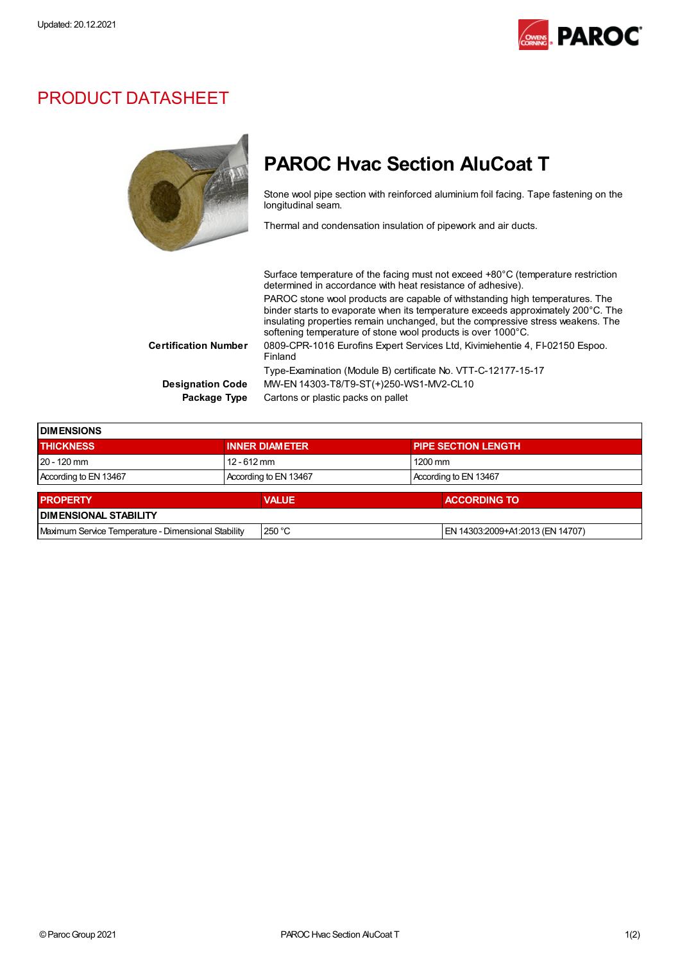

## PRODUCT DATASHEET

 $\overline{a}$ 

## PAROC Hvac Section AluCoat T

Stone wool pipe section with reinforced aluminium foil facing. Tape fastening on the longitudinal seam.

Thermal and condensation insulation of pipework and air ducts.

|                         | Surface temperature of the facing must not exceed +80°C (temperature restriction<br>determined in accordance with heat resistance of adhesive).                                                                                                                                                                     |
|-------------------------|---------------------------------------------------------------------------------------------------------------------------------------------------------------------------------------------------------------------------------------------------------------------------------------------------------------------|
|                         | PAROC stone wool products are capable of withstanding high temperatures. The<br>binder starts to evaporate when its temperature exceeds approximately 200°C. The<br>insulating properties remain unchanged, but the compressive stress weakens. The<br>softening temperature of stone wool products is over 1000°C. |
| Certification Number    | 0809-CPR-1016 Eurofins Expert Services Ltd, Kivimiehentie 4, FI-02150 Espoo.<br>Finland                                                                                                                                                                                                                             |
|                         | Type-Examination (Module B) certificate No. VTT-C-12177-15-17                                                                                                                                                                                                                                                       |
| <b>Designation Code</b> | MW-EN 14303-T8/T9-ST(+)250-WS1-MV2-CL10                                                                                                                                                                                                                                                                             |
| Package Type            | Cartons or plastic packs on pallet                                                                                                                                                                                                                                                                                  |

| <b>IDIMENSIONS</b>                                  |  |                       |  |                                  |  |  |
|-----------------------------------------------------|--|-----------------------|--|----------------------------------|--|--|
| <b>THICKNESS</b>                                    |  | <b>INNER DIAMETER</b> |  | <b>PIPE SECTION LENGTH</b>       |  |  |
| $20 - 120$ mm                                       |  | $12 - 612$ mm         |  | 1200 mm                          |  |  |
| According to EN 13467                               |  | According to EN 13467 |  | According to EN 13467            |  |  |
| <b>PROPERTY</b>                                     |  | <b>VALUE</b>          |  | <b>ACCORDING TO</b>              |  |  |
| <b>DIMENSIONAL STABILITY</b>                        |  |                       |  |                                  |  |  |
| Maximum Service Temperature - Dimensional Stability |  | 250 °C                |  | EN 14303:2009+A1:2013 (EN 14707) |  |  |